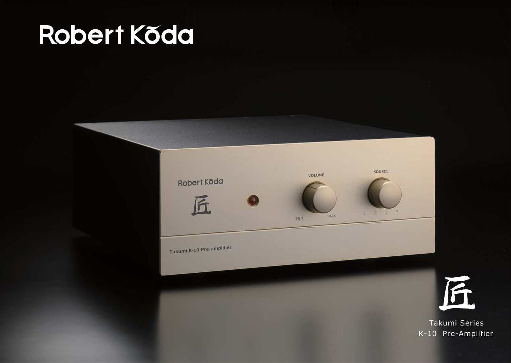# Robert Køda



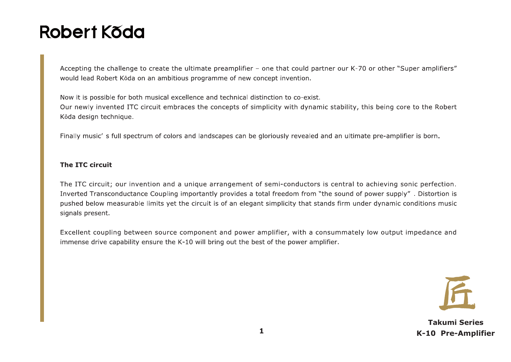# Robert Kõda

Accepting the challenge to create the ultimate preamplifier - one that could partner our K-70 or other "Super amplifiers" would lead Robert Kŏda on an ambitious programme of new concept invention.

Now it is possible for both musical excellence and technical distinction to co-exist. Our newly invented ITC circuit embraces the concepts of simplicity with dynamic stability, this being core to the Robert Kŏda design technique.

Finally music' s full spectrum of colors and landscapes can be gloriously revealed and an ultimate pre-amplifier is born.

#### The ITC circuit

The ITC circuit; our invention and a unique arrangement of semi-conductors is central to achieving sonic perfection. Inverted Transconductance Coupling importantly provides a total freedom from "the sound of power supply". Distortion is pushed below measurable limits yet the circuit is of an elegant simplicity that stands firm under dynamic conditions music signals present.

Excellent coupling between source component and power amplifier, with a consummately low output impedance and immense drive capability ensure the K-10 will bring out the best of the power amplifier.

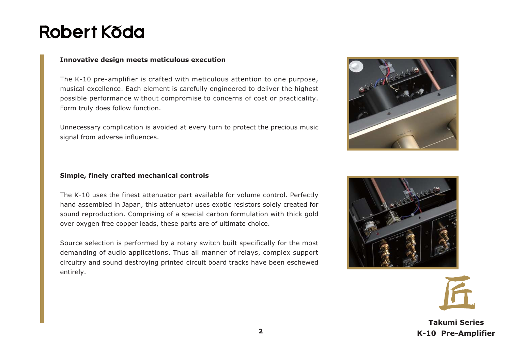## Robert Kõda

#### **Innovative design meets meticulous execution**

The K-10 pre-amplifier is crafted with meticulous attention to one purpose, musical excellence. Each element is carefully engineered to deliver the highest possible performance without compromise to concerns of cost or practicality. Form truly does follow function.

Unnecessary complication is avoided at every turn to protect the precious music signal from adverse influences.



#### **Simple, finely crafted mechanical controls**

The K-10 uses the finest attenuator part available for volume control. Perfectly hand assembled in Japan, this attenuator uses exotic resistors solely created for sound reproduction. Comprising of a special carbon formulation with thick gold over oxygen free copper leads, these parts are of ultimate choice.

Source selection is performed by a rotary switch built specifically for the most demanding of audio applications. Thus all manner of relays, complex support circuitry and sound destroying printed circuit board tracks have been eschewed entirely.



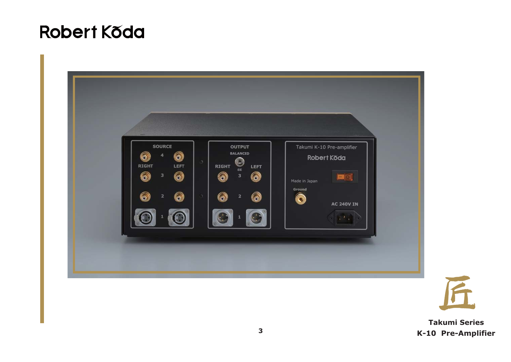## **Robert Koda**



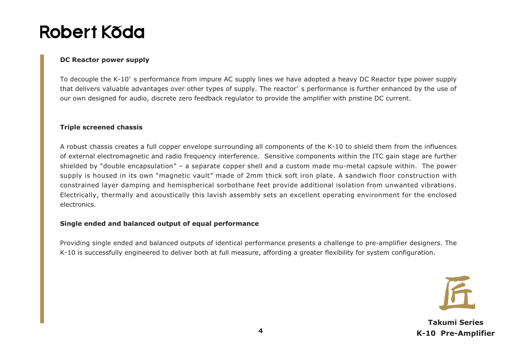## Robert Kõda

#### **DC Reactor power supply**

To decouple the K-10' s performance from impure AC supply lines we have adopted a heavy DC Reactor type power supply that delivers valuable advantages over other types of supply. The reactor' s performance is further enhanced by the use of our own designed for audio, discrete zero feedback regulator to provide the amplifier with pristine DC current.

#### **Triple screened chassis**

A robust chassis creates a full copper envelope surrounding all components of the K-10 to shield them from the influences of external electromagnetic and radio frequency interference. Sensitive components within the ITC gain stage are further shielded by "double encapsulation" – a separate copper shell and a custom made mu-metal capsule within. The power supply is housed in its own "magnetic vault" made of 2mm thick soft iron plate. A sandwich floor construction with constrained layer damping and hemispherical sorbothane feet provide additional isolation from unwanted vibrations. Electrically, thermally and acoustically this lavish assembly sets an excellent operating environment for the enclosed electronics.

#### **Single ended and balanced output of equal performance**

Providing single ended and balanced outputs of identical performance presents a challenge to pre-amplifier designers. The K-10 is successfully engineered to deliver both at full measure, affording a greater flexibility for system configuration.

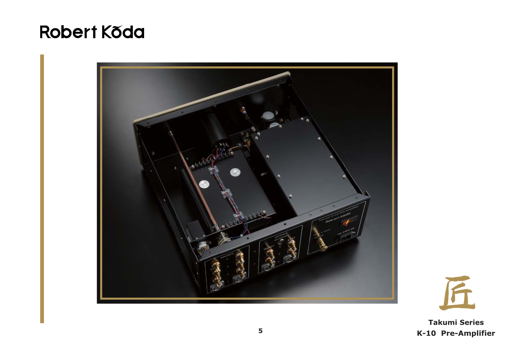### **Robert Koda**



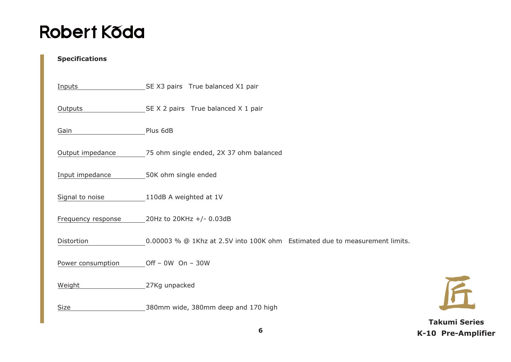## **Robert Koda**

#### **Specifications**

| Inputs             | SEX3 pairs True balanced X1 pair                                            |
|--------------------|-----------------------------------------------------------------------------|
| Outputs            | SE X 2 pairs True balanced X 1 pair                                         |
| Gain               | Plus 6dB                                                                    |
| Output impedance   | 75 ohm single ended, 2X 37 ohm balanced                                     |
| Input impedance    | 50K ohm single ended                                                        |
| Signal to noise    | 110dB A weighted at 1V                                                      |
| Frequency response | 20Hz to 20KHz +/- 0.03dB                                                    |
| Distortion         | 0.00003 % @ 1Khz at 2.5V into 100K ohm Estimated due to measurement limits. |
| Power consumption  | Off $-$ 0W On $-$ 30W                                                       |
| Weight             | 27Kg unpacked                                                               |
| <b>Size</b>        | 380mm wide, 380mm deep and 170 high                                         |

**Takumi Series K-10 Pre-Amplifier**

F